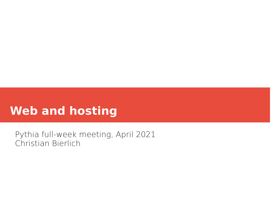# **Web and hosting**

Pythia full-week meeting, April 2021 Christian Bierlich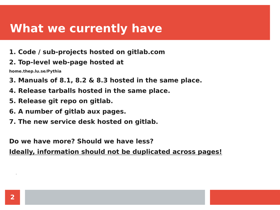## **What we currently have**

- **1. Code / sub-projects hosted on gitlab.com**
- **2. Top-level web-page hosted at**

**home.thep.lu.se/Pythia**

- **3. Manuals of 8.1, 8.2 & 8.3 hosted in the same place.**
- **4. Release tarballs hosted in the same place.**
- **5. Release git repo on gitlab.**
- **6. A number of gitlab aux pages.**
- **7. The new service desk hosted on gitlab.**

**Do we have more? Should we have less?**

**Ideally, information should not be duplicated across pages!**

.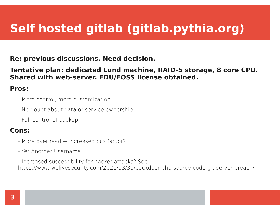# **Self hosted gitlab (gitlab.pythia.org)**

**Re: previous discussions. Need decision.**

**Tentative plan: dedicated Lund machine, RAID-5 storage, 8 core CPU. Shared with web-server. EDU/FOSS license obtained.**

#### **Pros:**

- More control, more customization
- No doubt about data or service ownership
- Full control of backup

#### **Cons:**

- More overhead → increased bus factor?
- Yet Another Username

- Increased susceptibility for hacker attacks? See https://www.welivesecurity.com/2021/03/30/backdoor-php-source-code-git-server-breach/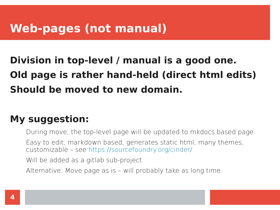### **Web-pages (not manual)**

# **Division in top-level / manual is a good one. Old page is rather hand-held (direct html edits) Should be moved to new domain.**

### **My suggestion:**

During move, the top-level page will be updated to mkdocs based page.

Easy to edit, markdown based, generates static html, many themes, customizable – see <https://sourcefoundry.org/cinder/>

Will be added as a gitlab sub-project.

Alternative: Move page as is – will probably take as long time.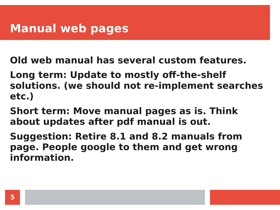## **Manual web pages**

**Old web manual has several custom features.**

**Long term: Update to mostly off-the-shelf solutions. (we should not re-implement searches etc.)**

**Short term: Move manual pages as is. Think about updates after pdf manual is out.**

**Suggestion: Retire 8.1 and 8.2 manuals from page. People google to them and get wrong information.**